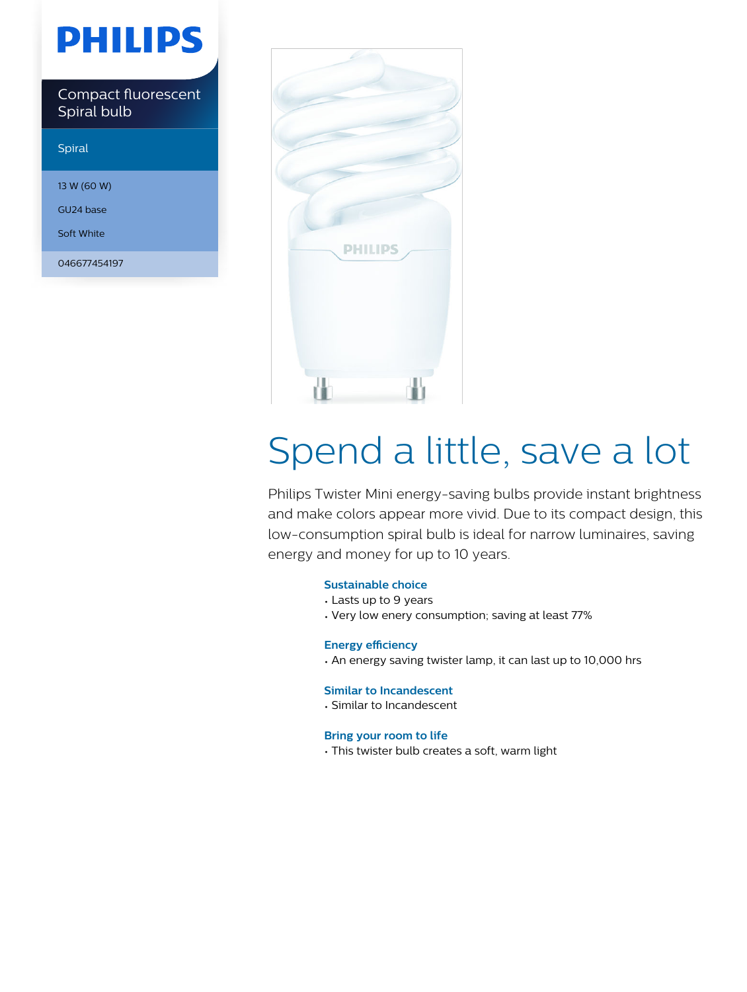# **PHILIPS**

Compact fluorescent Spiral bulb

#### Spiral

13 W (60 W)

GU24 base

Soft White

046677454197



# Spend a little, save a lot

Philips Twister Mini energy-saving bulbs provide instant brightness and make colors appear more vivid. Due to its compact design, this low-consumption spiral bulb is ideal for narrow luminaires, saving energy and money for up to 10 years.

#### **Sustainable choice**

- Lasts up to 9 years
- Very low enery consumption; saving at least 77%

#### **Energy efficiency**

• An energy saving twister lamp, it can last up to 10,000 hrs

#### **Similar to Incandescent**

• Similar to Incandescent

#### **Bring your room to life**

• This twister bulb creates a soft, warm light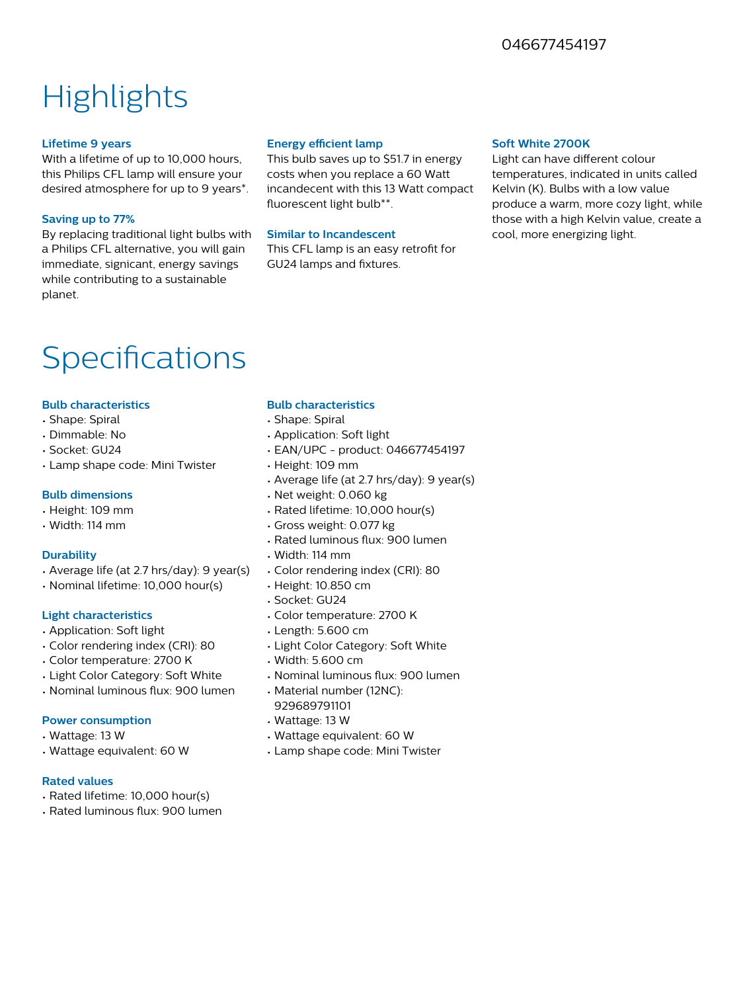### 046677454197

## **Highlights**

#### **Lifetime 9 years**

With a lifetime of up to 10,000 hours, this Philips CFL lamp will ensure your desired atmosphere for up to 9 years\*.

#### **Saving up to 77%**

By replacing traditional light bulbs with a Philips CFL alternative, you will gain immediate, signicant, energy savings while contributing to a sustainable planet.

#### **Energy efficient lamp**

This bulb saves up to \$51.7 in energy costs when you replace a 60 Watt incandecent with this 13 Watt compact fluorescent light bulb\*\*.

#### **Similar to Incandescent**

This CFL lamp is an easy retrofit for GU24 lamps and fixtures.

#### **Soft White 2700K**

Light can have different colour temperatures, indicated in units called Kelvin (K). Bulbs with a low value produce a warm, more cozy light, while those with a high Kelvin value, create a cool, more energizing light.

### Specifications

#### **Bulb characteristics**

- Shape: Spiral
- Dimmable: No
- Socket: GU24
- Lamp shape code: Mini Twister

#### **Bulb dimensions**

- Height: 109 mm
- Width: 114 mm

#### **Durability**

- Average life (at 2.7 hrs/day): 9 year(s)
- Nominal lifetime: 10,000 hour(s)

#### **Light characteristics**

- Application: Soft light
- Color rendering index (CRI): 80
- Color temperature: 2700 K
- Light Color Category: Soft White
- Nominal luminous flux: 900 lumen

#### **Power consumption**

- Wattage: 13 W
- Wattage equivalent: 60 W

#### **Rated values**

- Rated lifetime: 10,000 hour(s)
- Rated luminous flux: 900 lumen

#### **Bulb characteristics**

- Shape: Spiral
- Application: Soft light
- EAN/UPC product: 046677454197
- Height: 109 mm
- Average life (at 2.7 hrs/day): 9 year(s)
- Net weight: 0.060 kg
- Rated lifetime: 10,000 hour(s)
- Gross weight: 0.077 kg
- Rated luminous flux: 900 lumen
- Width: 114 mm
- Color rendering index (CRI): 80
- Height: 10.850 cm
- Socket: GU24
- Color temperature: 2700 K
- Length: 5.600 cm
- Light Color Category: Soft White
- Width: 5.600 cm
- Nominal luminous flux: 900 lumen
- Material number (12NC): 929689791101
- Wattage: 13 W
- Wattage equivalent: 60 W
- Lamp shape code: Mini Twister